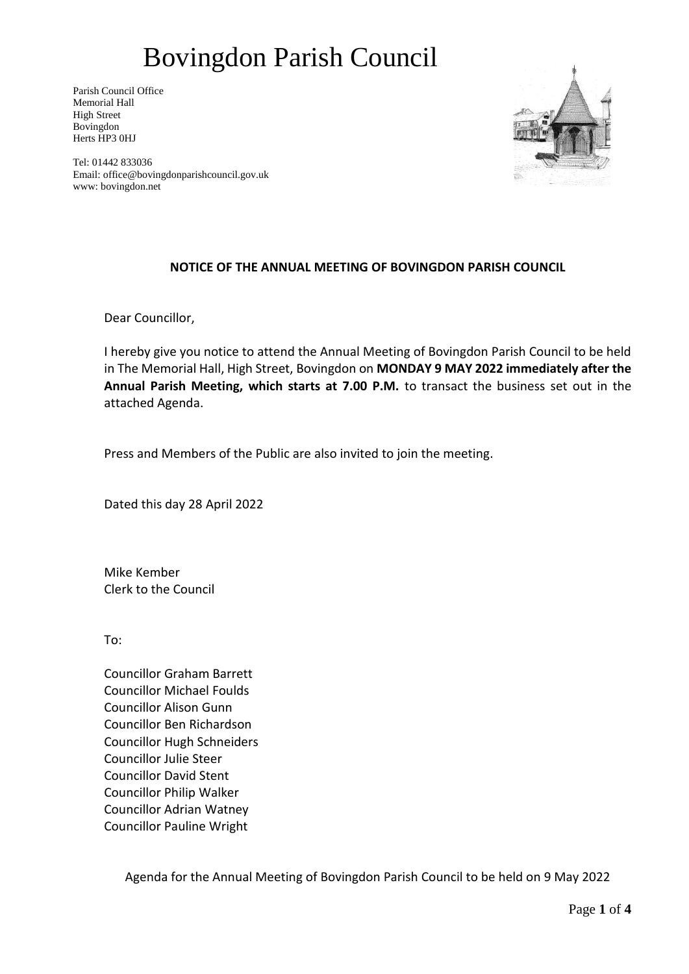Parish Council Office Memorial Hall High Street Bovingdon Herts HP3 0HJ



Tel: 01442 833036 Email: office@bovingdonparishcouncil.gov.uk www: bovingdon.net

## **NOTICE OF THE ANNUAL MEETING OF BOVINGDON PARISH COUNCIL**

Dear Councillor,

I hereby give you notice to attend the Annual Meeting of Bovingdon Parish Council to be held in The Memorial Hall, High Street, Bovingdon on **MONDAY 9 MAY 2022 immediately after the Annual Parish Meeting, which starts at 7.00 P.M.** to transact the business set out in the attached Agenda.

Press and Members of the Public are also invited to join the meeting.

Dated this day 28 April 2022

Mike Kember Clerk to the Council

To:

Councillor Graham Barrett Councillor Michael Foulds Councillor Alison Gunn Councillor Ben Richardson Councillor Hugh Schneiders Councillor Julie Steer Councillor David Stent Councillor Philip Walker Councillor Adrian Watney Councillor Pauline Wright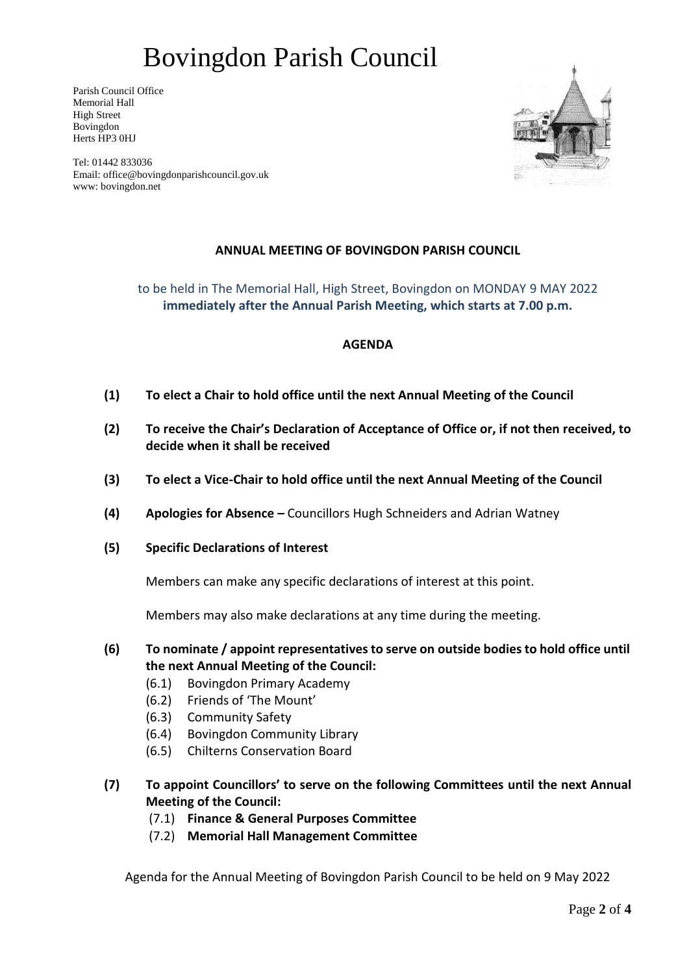Parish Council Office Memorial Hall High Street Bovingdon Herts HP3 0HJ



Tel: 01442 833036 Email: office@bovingdonparishcouncil.gov.uk www: bovingdon.net

## **ANNUAL MEETING OF BOVINGDON PARISH COUNCIL**

to be held in The Memorial Hall, High Street, Bovingdon on MONDAY 9 MAY 2022 **immediately after the Annual Parish Meeting, which starts at 7.00 p.m.**

### **AGENDA**

- **(1) To elect a Chair to hold office until the next Annual Meeting of the Council**
- **(2) To receive the Chair's Declaration of Acceptance of Office or, if not then received, to decide when it shall be received**
- **(3) To elect a Vice-Chair to hold office until the next Annual Meeting of the Council**
- **(4) Apologies for Absence –** Councillors Hugh Schneiders and Adrian Watney
- **(5) Specific Declarations of Interest**

Members can make any specific declarations of interest at this point.

Members may also make declarations at any time during the meeting.

**(6) To nominate / appoint representatives to serve on outside bodies to hold office until the next Annual Meeting of the Council:**

- (6.1) Bovingdon Primary Academy
- (6.2) Friends of 'The Mount'
- (6.3) Community Safety
- (6.4) Bovingdon Community Library
- (6.5) Chilterns Conservation Board
- **(7) To appoint Councillors' to serve on the following Committees until the next Annual Meeting of the Council:**
	- (7.1) **Finance & General Purposes Committee**
	- (7.2) **Memorial Hall Management Committee**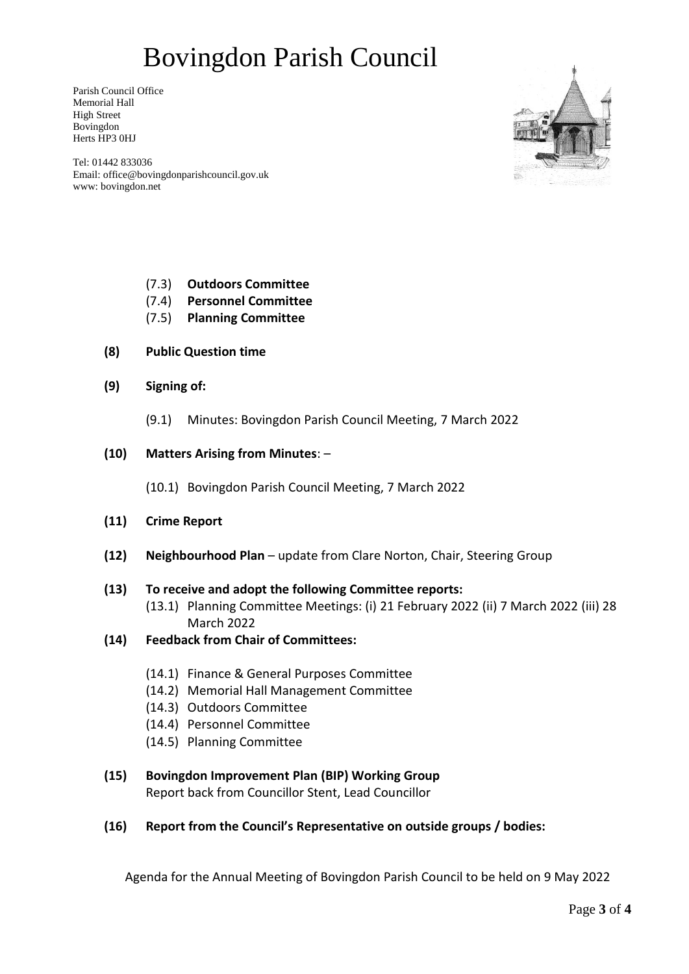Parish Council Office Memorial Hall High Street Bovingdon Herts HP3 0HJ



Tel: 01442 833036 Email: office@bovingdonparishcouncil.gov.uk www: bovingdon.net

- (7.3) **Outdoors Committee**
- (7.4) **Personnel Committee**
- (7.5) **Planning Committee**
- **(8) Public Question time**
- **(9) Signing of:** 
	- (9.1) Minutes: Bovingdon Parish Council Meeting, 7 March 2022

### **(10) Matters Arising from Minutes**: –

(10.1) Bovingdon Parish Council Meeting, 7 March 2022

- **(11) Crime Report**
- **(12) Neighbourhood Plan** update from Clare Norton, Chair, Steering Group

### **(13) To receive and adopt the following Committee reports:**

- (13.1) Planning Committee Meetings: (i) 21 February 2022 (ii) 7 March 2022 (iii) 28 March 2022
- **(14) Feedback from Chair of Committees:**
	- (14.1) Finance & General Purposes Committee
	- (14.2) Memorial Hall Management Committee
	- (14.3) Outdoors Committee
	- (14.4) Personnel Committee
	- (14.5) Planning Committee

### **(15) Bovingdon Improvement Plan (BIP) Working Group** Report back from Councillor Stent, Lead Councillor

### **(16) Report from the Council's Representative on outside groups / bodies:**